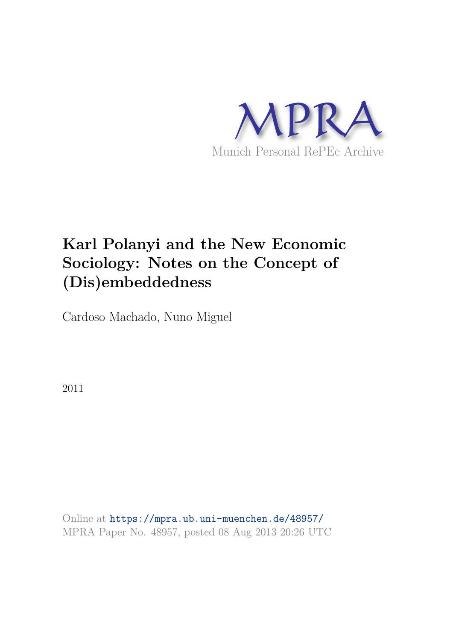

# **Karl Polanyi and the New Economic Sociology: Notes on the Concept of (Dis)embeddedness**

Cardoso Machado, Nuno Miguel

2011

Online at https://mpra.ub.uni-muenchen.de/48957/ MPRA Paper No. 48957, posted 08 Aug 2013 20:26 UTC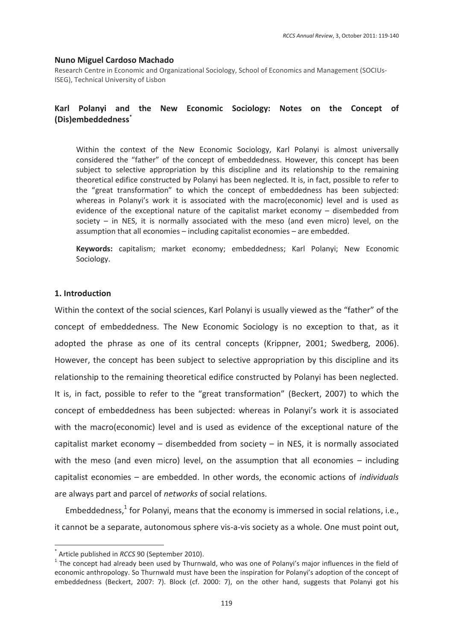#### **Nuno Miguel Cardoso Machado**

Research Centre in Economic and Organizational Sociology, School of Economics and Management (SOCIUs-ISEG), Technical University of Lisbon

# **Karl Polanyi and the New Economic Sociology: Notes on the Concept of (Dis)embeddedness\***

Within the context of the New Economic Sociology, Karl Polanyi is almost universally considered the "father" of the concept of embeddedness. However, this concept has been subject to selective appropriation by this discipline and its relationship to the remaining theoretical edifice constructed by Polanyi has been neglected. It is, in fact, possible to refer to the "great transformation" to which the concept of embeddedness has been subjected: whereas in Polanyiís work it is associated with the macro(economic) level and is used as evidence of the exceptional nature of the capitalist market economy  $-$  disembedded from society  $-$  in NES, it is normally associated with the meso (and even micro) level, on the assumption that all economies  $-$  including capitalist economies  $-$  are embedded.

**Keywords:** capitalism; market economy; embeddedness; Karl Polanyi; New Economic Sociology.

## **1. Introduction**

Within the context of the social sciences, Karl Polanyi is usually viewed as the "father" of the concept of embeddedness. The New Economic Sociology is no exception to that, as it adopted the phrase as one of its central concepts (Krippner, 2001; Swedberg, 2006). However, the concept has been subject to selective appropriation by this discipline and its relationship to the remaining theoretical edifice constructed by Polanyi has been neglected. It is, in fact, possible to refer to the "great transformation" (Beckert, 2007) to which the concept of embeddedness has been subjected: whereas in Polanyi's work it is associated with the macro(economic) level and is used as evidence of the exceptional nature of the capitalist market economy  $-$  disembedded from society  $-$  in NES, it is normally associated with the meso (and even micro) level, on the assumption that all economies  $-$  including capitalist economies – are embedded. In other words, the economic actions of *individuals* are always part and parcel of *networks* of social relations.

Embeddedness, $<sup>1</sup>$  for Polanyi, means that the economy is immersed in social relations, i.e.,</sup> it cannot be a separate, autonomous sphere vis-a-vis society as a whole. One must point out,

 $\overline{a}$ 

<sup>\*</sup> Article published in *RCCS* 90 (September 2010).

 $^1$  The concept had already been used by Thurnwald, who was one of Polanyi's major influences in the field of economic anthropology. So Thurnwald must have been the inspiration for Polanyi's adoption of the concept of embeddedness (Beckert, 2007: 7). Block (cf. 2000: 7), on the other hand, suggests that Polanyi got his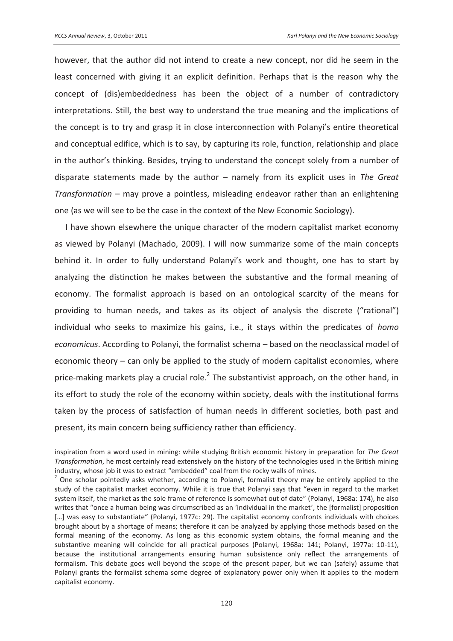however, that the author did not intend to create a new concept, nor did he seem in the least concerned with giving it an explicit definition. Perhaps that is the reason why the concept of (dis)embeddedness has been the object of a number of contradictory interpretations. Still, the best way to understand the true meaning and the implications of the concept is to try and grasp it in close interconnection with Polanyiís entire theoretical and conceptual edifice, which is to say, by capturing its role, function, relationship and place in the author's thinking. Besides, trying to understand the concept solely from a number of disparate statements made by the author ñ namely from its explicit uses in *The Great Transformation* – may prove a pointless, misleading endeavor rather than an enlightening one (as we will see to be the case in the context of the New Economic Sociology).

I have shown elsewhere the unique character of the modern capitalist market economy as viewed by Polanyi (Machado, 2009). I will now summarize some of the main concepts behind it. In order to fully understand Polanyiís work and thought, one has to start by analyzing the distinction he makes between the substantive and the formal meaning of economy. The formalist approach is based on an ontological scarcity of the means for providing to human needs, and takes as its object of analysis the discrete ("rational") individual who seeks to maximize his gains, i.e., it stays within the predicates of *homo economicus*. According to Polanyi, the formalist schema – based on the neoclassical model of economic theory  $-$  can only be applied to the study of modern capitalist economies, where price-making markets play a crucial role.<sup>2</sup> The substantivist approach, on the other hand, in its effort to study the role of the economy within society, deals with the institutional forms taken by the process of satisfaction of human needs in different societies, both past and present, its main concern being sufficiency rather than efficiency.

inspiration from a word used in mining: while studying British economic history in preparation for *The Great Transformation*, he most certainly read extensively on the history of the technologies used in the British mining industry, whose job it was to extract "embedded" coal from the rocky walls of mines.

 $2$  One scholar pointedly asks whether, according to Polanyi, formalist theory may be entirely applied to the study of the capitalist market economy. While it is true that Polanyi says that "even in regard to the market system itself, the market as the sole frame of reference is somewhat out of date" (Polanyi, 1968a: 174), he also writes that "once a human being was circumscribed as an 'individual in the market', the [formalist] proposition [...] was easy to substantiate" (Polanyi, 1977c: 29). The capitalist economy confronts individuals with choices brought about by a shortage of means; therefore it can be analyzed by applying those methods based on the formal meaning of the economy. As long as this economic system obtains, the formal meaning and the substantive meaning will coincide for all practical purposes (Polanyi, 1968a: 141; Polanyi, 1977a: 10-11), because the institutional arrangements ensuring human subsistence only reflect the arrangements of formalism. This debate goes well beyond the scope of the present paper, but we can (safely) assume that Polanyi grants the formalist schema some degree of explanatory power only when it applies to the modern capitalist economy.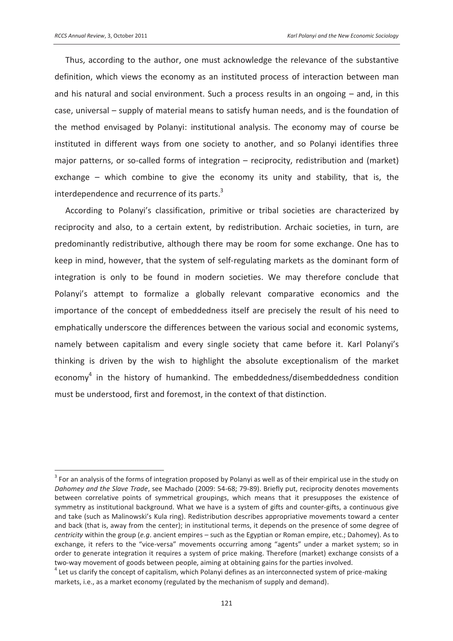Thus, according to the author, one must acknowledge the relevance of the substantive definition, which views the economy as an instituted process of interaction between man and his natural and social environment. Such a process results in an ongoing  $-$  and, in this case, universal – supply of material means to satisfy human needs, and is the foundation of the method envisaged by Polanyi: institutional analysis. The economy may of course be instituted in different ways from one society to another, and so Polanyi identifies three major patterns, or so-called forms of integration  $-$  reciprocity, redistribution and (market) exchange  $-$  which combine to give the economy its unity and stability, that is, the interdependence and recurrence of its parts.<sup>3</sup>

According to Polanyiís classification, primitive or tribal societies are characterized by reciprocity and also, to a certain extent, by redistribution. Archaic societies, in turn, are predominantly redistributive, although there may be room for some exchange. One has to keep in mind, however, that the system of self-regulating markets as the dominant form of integration is only to be found in modern societies. We may therefore conclude that Polanyi's attempt to formalize a globally relevant comparative economics and the importance of the concept of embeddedness itself are precisely the result of his need to emphatically underscore the differences between the various social and economic systems, namely between capitalism and every single society that came before it. Karl Polanyiís thinking is driven by the wish to highlight the absolute exceptionalism of the market economy<sup>4</sup> in the history of humankind. The embeddedness/disembeddedness condition must be understood, first and foremost, in the context of that distinction.

 $3$  For an analysis of the forms of integration proposed by Polanyi as well as of their empirical use in the study on *Dahomey and the Slave Trade*, see Machado (2009: 54-68; 79-89). Briefly put, reciprocity denotes movements between correlative points of symmetrical groupings, which means that it presupposes the existence of symmetry as institutional background. What we have is a system of gifts and counter-gifts, a continuous give and take (such as Malinowski's Kula ring). Redistribution describes appropriative movements toward a center and back (that is, away from the center); in institutional terms, it depends on the presence of some degree of *centricity* within the group (*e.g.* ancient empires – such as the Egyptian or Roman empire, etc.; Dahomey). As to exchange, it refers to the "vice-versa" movements occurring among "agents" under a market system; so in order to generate integration it requires a system of price making. Therefore (market) exchange consists of a two-way movement of goods between people, aiming at obtaining gains for the parties involved.

 $4$  Let us clarify the concept of capitalism, which Polanyi defines as an interconnected system of price-making markets, i.e., as a market economy (regulated by the mechanism of supply and demand).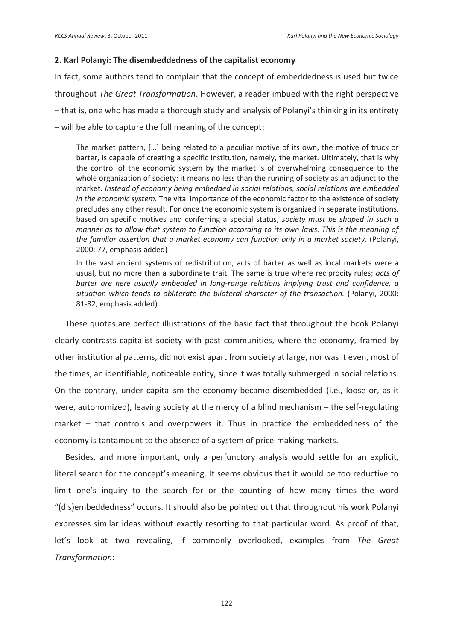#### **2. Karl Polanyi: The disembeddedness of the capitalist economy**

In fact, some authors tend to complain that the concept of embeddedness is used but twice throughout *The Great Transformation*. However, a reader imbued with the right perspective  $-$  that is, one who has made a thorough study and analysis of Polanyi's thinking in its entirety  $-$  will be able to capture the full meaning of the concept:

The market pattern, [...] being related to a peculiar motive of its own, the motive of truck or barter, is capable of creating a specific institution, namely, the market. Ultimately, that is why the control of the economic system by the market is of overwhelming consequence to the whole organization of society: it means no less than the running of society as an adjunct to the market. *Instead of economy being embedded in social relations, social relations are embedded in the economic system.* The vital importance of the economic factor to the existence of society precludes any other result. For once the economic system is organized in separate institutions, based on specific motives and conferring a special status, *society must be shaped in such a manner as to allow that system to function according to its own laws. This is the meaning of the familiar assertion that a market economy can function only in a market society.* (Polanyi, 2000: 77, emphasis added)

In the vast ancient systems of redistribution, acts of barter as well as local markets were a usual, but no more than a subordinate trait. The same is true where reciprocity rules; *acts of barter are here usually embedded in long-range relations implying trust and confidence, a situation which tends to obliterate the bilateral character of the transaction.* (Polanyi, 2000: 81-82, emphasis added)

These quotes are perfect illustrations of the basic fact that throughout the book Polanyi clearly contrasts capitalist society with past communities, where the economy, framed by other institutional patterns, did not exist apart from society at large, nor was it even, most of the times, an identifiable, noticeable entity, since it was totally submerged in social relations. On the contrary, under capitalism the economy became disembedded (i.e., loose or, as it were, autonomized), leaving society at the mercy of a blind mechanism  $-$  the self-regulating market  $-$  that controls and overpowers it. Thus in practice the embeddedness of the economy is tantamount to the absence of a system of price-making markets.

Besides, and more important, only a perfunctory analysis would settle for an explicit, literal search for the concept's meaning. It seems obvious that it would be too reductive to limit one's inquiry to the search for or the counting of how many times the word ì(dis)embeddednessî occurs. It should also be pointed out that throughout his work Polanyi expresses similar ideas without exactly resorting to that particular word. As proof of that, letís look at two revealing, if commonly overlooked, examples from *The Great Transformation*: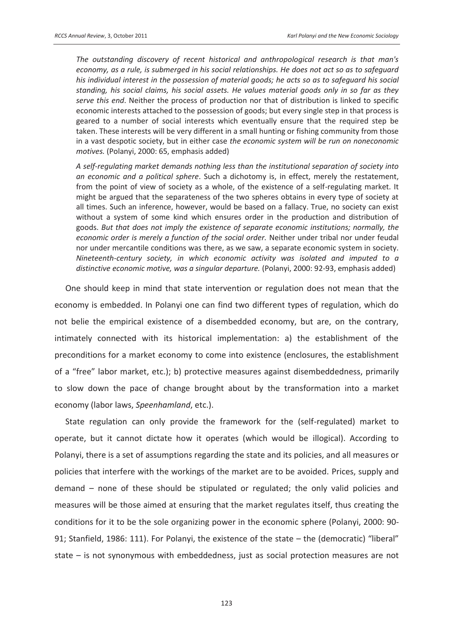*The outstanding discovery of recent historical and anthropological research is that man's economy, as a rule, is submerged in his social relationships. He does not act so as to safeguard his individual interest in the possession of material goods; he acts so as to safeguard his social standing, his social claims, his social assets. He values material goods only in so far as they serve this end*. Neither the process of production nor that of distribution is linked to specific economic interests attached to the possession of goods; but every single step in that process is geared to a number of social interests which eventually ensure that the required step be taken. These interests will be very different in a small hunting or fishing community from those in a vast despotic society, but in either case *the economic system will be run on noneconomic motives.* (Polanyi, 2000: 65, emphasis added)

*A self-regulating market demands nothing less than the institutional separation of society into an economic and a political sphere*. Such a dichotomy is, in effect, merely the restatement, from the point of view of society as a whole, of the existence of a self-regulating market. It might be argued that the separateness of the two spheres obtains in every type of society at all times. Such an inference, however, would be based on a fallacy. True, no society can exist without a system of some kind which ensures order in the production and distribution of goods. *But that does not imply the existence of separate economic institutions; normally, the economic order is merely a function of the social order.* Neither under tribal nor under feudal nor under mercantile conditions was there, as we saw, a separate economic system in society. *Nineteenth-century society, in which economic activity was isolated and imputed to a distinctive economic motive, was a singular departure.* (Polanyi, 2000: 92-93, emphasis added)

One should keep in mind that state intervention or regulation does not mean that the economy is embedded. In Polanyi one can find two different types of regulation, which do not belie the empirical existence of a disembedded economy, but are, on the contrary, intimately connected with its historical implementation: a) the establishment of the preconditions for a market economy to come into existence (enclosures, the establishment of a "free" labor market, etc.); b) protective measures against disembeddedness, primarily to slow down the pace of change brought about by the transformation into a market economy (labor laws, *Speenhamland*, etc.).

State regulation can only provide the framework for the (self-regulated) market to operate, but it cannot dictate how it operates (which would be illogical). According to Polanyi, there is a set of assumptions regarding the state and its policies, and all measures or policies that interfere with the workings of the market are to be avoided. Prices, supply and demand – none of these should be stipulated or regulated; the only valid policies and measures will be those aimed at ensuring that the market regulates itself, thus creating the conditions for it to be the sole organizing power in the economic sphere (Polanyi, 2000: 90- 91; Stanfield, 1986: 111). For Polanyi, the existence of the state - the (democratic) "liberal" state  $-$  is not synonymous with embeddedness, just as social protection measures are not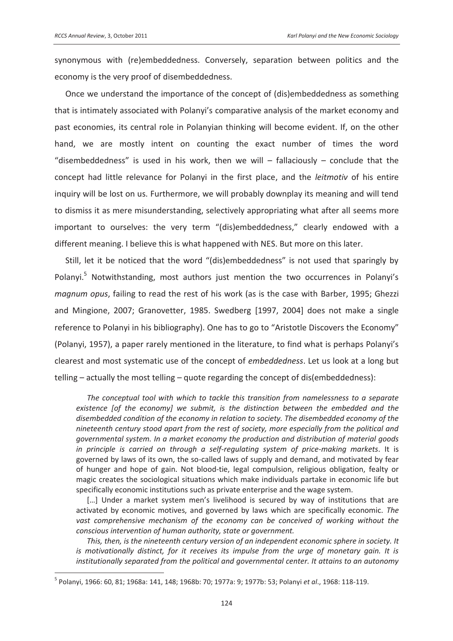synonymous with (re)embeddedness. Conversely, separation between politics and the economy is the very proof of disembeddedness.

Once we understand the importance of the concept of (dis)embeddedness as something that is intimately associated with Polanyi's comparative analysis of the market economy and past economies, its central role in Polanyian thinking will become evident. If, on the other hand, we are mostly intent on counting the exact number of times the word "disembeddedness" is used in his work, then we will  $-$  fallaciously  $-$  conclude that the concept had little relevance for Polanyi in the first place, and the *leitmotiv* of his entire inquiry will be lost on us. Furthermore, we will probably downplay its meaning and will tend to dismiss it as mere misunderstanding, selectively appropriating what after all seems more important to ourselves: the very term "(dis)embeddedness," clearly endowed with a different meaning. I believe this is what happened with NES. But more on this later.

Still, let it be noticed that the word "(dis)embeddedness" is not used that sparingly by Polanyi.<sup>5</sup> Notwithstanding, most authors just mention the two occurrences in Polanyi's *magnum opus*, failing to read the rest of his work (as is the case with Barber, 1995; Ghezzi and Mingione, 2007; Granovetter, 1985. Swedberg [1997, 2004] does not make a single reference to Polanyi in his bibliography). One has to go to "Aristotle Discovers the Economy" (Polanyi, 1957), a paper rarely mentioned in the literature, to find what is perhaps Polanyiís clearest and most systematic use of the concept of *embeddedness*. Let us look at a long but telling  $-$  actually the most telling  $-$  quote regarding the concept of dis(embeddedness):

*The conceptual tool with which to tackle this transition from namelessness to a separate existence [of the economy] we submit, is the distinction between the embedded and the disembedded condition of the economy in relation to society. The disembedded economy of the nineteenth century stood apart from the rest of society, more especially from the political and governmental system. In a market economy the production and distribution of material goods in principle is carried on through a self-regulating system of price-making markets*. It is governed by laws of its own, the so-called laws of supply and demand, and motivated by fear of hunger and hope of gain. Not blood-tie, legal compulsion, religious obligation, fealty or magic creates the sociological situations which make individuals partake in economic life but specifically economic institutions such as private enterprise and the wage system.

[...] Under a market system men's livelihood is secured by way of institutions that are activated by economic motives, and governed by laws which are specifically economic. *The vast comprehensive mechanism of the economy can be conceived of working without the conscious intervention of human authority, state or government.*

*This, then, is the nineteenth century version of an independent economic sphere in society. It is motivationally distinct, for it receives its impulse from the urge of monetary gain. It is institutionally separated from the political and governmental center. It attains to an autonomy* 

<sup>5</sup> Polanyi, 1966: 60, 81; 1968a: 141, 148; 1968b: 70; 1977a: 9; 1977b: 53; Polanyi *et al*., 1968: 118-119.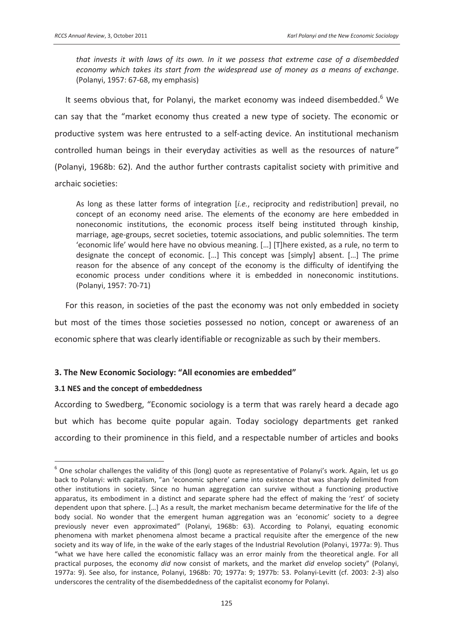*that invests it with laws of its own. In it we possess that extreme case of a disembedded economy which takes its start from the widespread use of money as a means of exchange*. (Polanyi, 1957: 67-68, my emphasis)

It seems obvious that, for Polanyi, the market economy was indeed disembedded. $6$  We can say that the "market economy thus created a new type of society. The economic or productive system was here entrusted to a self-acting device. An institutional mechanism controlled human beings in their everyday activities as well as the resources of nature" (Polanyi, 1968b: 62). And the author further contrasts capitalist society with primitive and archaic societies:

As long as these latter forms of integration [*i.e.*, reciprocity and redistribution] prevail, no concept of an economy need arise. The elements of the economy are here embedded in noneconomic institutions, the economic process itself being instituted through kinship, marriage, age-groups, secret societies, totemic associations, and public solemnities. The term 'economic life' would here have no obvious meaning. [...] [T]here existed, as a rule, no term to designate the concept of economic.  $[\dots]$  This concept was [simply] absent.  $[\dots]$  The prime reason for the absence of any concept of the economy is the difficulty of identifying the economic process under conditions where it is embedded in noneconomic institutions. (Polanyi, 1957: 70-71)

For this reason, in societies of the past the economy was not only embedded in society but most of the times those societies possessed no notion, concept or awareness of an economic sphere that was clearly identifiable or recognizable as such by their members.

# **3. The New Economic Sociology: "All economies are embedded"**

# **3.1 NES and the concept of embeddedness**

 $\overline{a}$ 

According to Swedberg, "Economic sociology is a term that was rarely heard a decade ago but which has become quite popular again. Today sociology departments get ranked according to their prominence in this field, and a respectable number of articles and books

 $^6$  One scholar challenges the validity of this (long) quote as representative of Polanyi's work. Again, let us go back to Polanyi: with capitalism, "an 'economic sphere' came into existence that was sharply delimited from other institutions in society. Since no human aggregation can survive without a functioning productive apparatus, its embodiment in a distinct and separate sphere had the effect of making the 'rest' of society dependent upon that sphere. [...] As a result, the market mechanism became determinative for the life of the body social. No wonder that the emergent human aggregation was an 'economic' society to a degree previously never even approximated" (Polanyi, 1968b: 63). According to Polanyi, equating economic phenomena with market phenomena almost became a practical requisite after the emergence of the new society and its way of life, in the wake of the early stages of the Industrial Revolution (Polanyi, 1977a: 9). Thus "what we have here called the economistic fallacy was an error mainly from the theoretical angle. For all practical purposes, the economy *did* now consist of markets, and the market *did* envelop societyî (Polanyi, 1977a: 9). See also, for instance, Polanyi, 1968b: 70; 1977a: 9; 1977b: 53. Polanyi-Levitt (cf. 2003: 2-3) also underscores the centrality of the disembeddedness of the capitalist economy for Polanyi.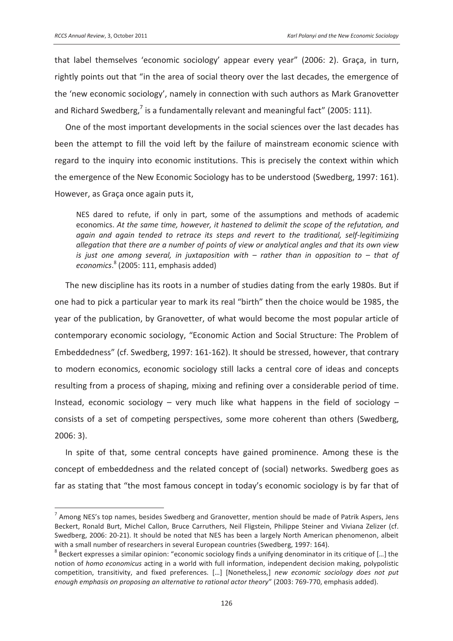that label themselves 'economic sociology' appear every year" (2006: 2). Graça, in turn, rightly points out that "in the area of social theory over the last decades, the emergence of the 'new economic sociology', namely in connection with such authors as Mark Granovetter and Richard Swedberg,<sup>7</sup> is a fundamentally relevant and meaningful fact" (2005: 111).

One of the most important developments in the social sciences over the last decades has been the attempt to fill the void left by the failure of mainstream economic science with regard to the inquiry into economic institutions. This is precisely the context within which the emergence of the New Economic Sociology has to be understood (Swedberg, 1997: 161). However, as Graça once again puts it,

NES dared to refute, if only in part, some of the assumptions and methods of academic economics. *At the same time, however, it hastened to delimit the scope of the refutation, and again and again tended to retrace its steps and revert to the traditional, self-legitimizing allegation that there are a number of points of view or analytical angles and that its own view is just one among several, in juxtaposition with – rather than in opposition to – that of economics*. 8 (2005: 111, emphasis added)

The new discipline has its roots in a number of studies dating from the early 1980s. But if one had to pick a particular year to mark its real "birth" then the choice would be 1985, the year of the publication, by Granovetter, of what would become the most popular article of contemporary economic sociology, "Economic Action and Social Structure: The Problem of Embeddedness" (cf. Swedberg, 1997: 161-162). It should be stressed, however, that contrary to modern economics, economic sociology still lacks a central core of ideas and concepts resulting from a process of shaping, mixing and refining over a considerable period of time. Instead, economic sociology  $-$  very much like what happens in the field of sociology  $$ consists of a set of competing perspectives, some more coherent than others (Swedberg, 2006: 3).

In spite of that, some central concepts have gained prominence. Among these is the concept of embeddedness and the related concept of (social) networks. Swedberg goes as far as stating that "the most famous concept in today's economic sociology is by far that of

<sup>&</sup>lt;sup>7</sup> Among NES's top names, besides Swedberg and Granovetter, mention should be made of Patrik Aspers, Jens Beckert, Ronald Burt, Michel Callon, Bruce Carruthers, Neil Fligstein, Philippe Steiner and Viviana Zelizer (cf. Swedberg, 2006: 20-21). It should be noted that NES has been a largely North American phenomenon, albeit with a small number of researchers in several European countries (Swedberg, 1997: 164).

 $^8$  Beckert expresses a similar opinion: "economic sociology finds a unifying denominator in its critique of [...] the notion of *homo economicus* acting in a world with full information, independent decision making, polypolistic competition, transitivity, and fixed preferences. [...] [Nonetheless,] new economic sociology does not put *enough emphasis on proposing an alternative to rational actor theory*î (2003: 769-770, emphasis added).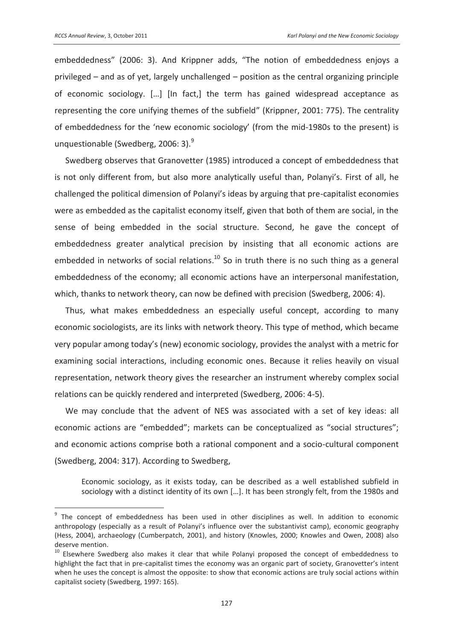embeddedness" (2006: 3). And Krippner adds, "The notion of embeddedness enjoys a privileged  $-$  and as of yet, largely unchallenged  $-$  position as the central organizing principle of economic sociology. [...] [In fact,] the term has gained widespread acceptance as representing the core unifying themes of the subfield" (Krippner, 2001: 775). The centrality of embeddedness for the 'new economic sociology' (from the mid-1980s to the present) is unquestionable (Swedberg, 2006: 3).<sup>9</sup>

Swedberg observes that Granovetter (1985) introduced a concept of embeddedness that is not only different from, but also more analytically useful than, Polanyi's. First of all, he challenged the political dimension of Polanyiís ideas by arguing that pre-capitalist economies were as embedded as the capitalist economy itself, given that both of them are social, in the sense of being embedded in the social structure. Second, he gave the concept of embeddedness greater analytical precision by insisting that all economic actions are embedded in networks of social relations. $^{10}$  So in truth there is no such thing as a general embeddedness of the economy; all economic actions have an interpersonal manifestation, which, thanks to network theory, can now be defined with precision (Swedberg, 2006: 4).

Thus, what makes embeddedness an especially useful concept, according to many economic sociologists, are its links with network theory. This type of method, which became very popular among todayís (new) economic sociology, provides the analyst with a metric for examining social interactions, including economic ones. Because it relies heavily on visual representation, network theory gives the researcher an instrument whereby complex social relations can be quickly rendered and interpreted (Swedberg, 2006: 4-5).

We may conclude that the advent of NES was associated with a set of key ideas: all economic actions are "embedded"; markets can be conceptualized as "social structures"; and economic actions comprise both a rational component and a socio-cultural component (Swedberg, 2004: 317). According to Swedberg,

Economic sociology, as it exists today, can be described as a well established subfield in sociology with a distinct identity of its own  $[...]$ . It has been strongly felt, from the 1980s and

<sup>&</sup>lt;sup>9</sup> The concept of embeddedness has been used in other disciplines as well. In addition to economic anthropology (especially as a result of Polanyi's influence over the substantivist camp), economic geography (Hess, 2004), archaeology (Cumberpatch, 2001), and history (Knowles, 2000; Knowles and Owen, 2008) also deserve mention.

<sup>&</sup>lt;sup>10</sup> Elsewhere Swedberg also makes it clear that while Polanyi proposed the concept of embeddedness to highlight the fact that in pre-capitalist times the economy was an organic part of society, Granovetter's intent when he uses the concept is almost the opposite: to show that economic actions are truly social actions within capitalist society (Swedberg, 1997: 165).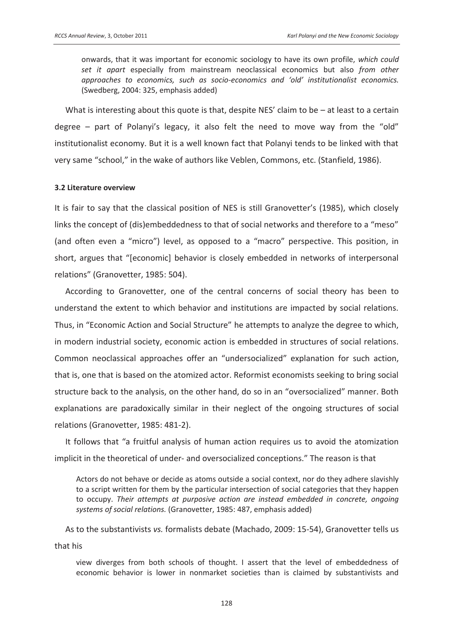onwards, that it was important for economic sociology to have its own profile, *which could set it apart* especially from mainstream neoclassical economics but also *from other approaches to economics, such as socio-economics and ëoldí institutionalist economics.* (Swedberg, 2004: 325, emphasis added)

What is interesting about this quote is that, despite NES' claim to be  $-$  at least to a certain degree  $-$  part of Polanyi's legacy, it also felt the need to move way from the "old" institutionalist economy. But it is a well known fact that Polanyi tends to be linked with that very same "school," in the wake of authors like Veblen, Commons, etc. (Stanfield, 1986).

## **3.2 Literature overview**

It is fair to say that the classical position of NES is still Granovetter's (1985), which closely links the concept of (dis)embeddedness to that of social networks and therefore to a "meso" (and often even a "micro") level, as opposed to a "macro" perspective. This position, in short, argues that "[economic] behavior is closely embedded in networks of interpersonal relations" (Granovetter, 1985: 504).

According to Granovetter, one of the central concerns of social theory has been to understand the extent to which behavior and institutions are impacted by social relations. Thus, in "Economic Action and Social Structure" he attempts to analyze the degree to which, in modern industrial society, economic action is embedded in structures of social relations. Common neoclassical approaches offer an "undersocialized" explanation for such action, that is, one that is based on the atomized actor. Reformist economists seeking to bring social structure back to the analysis, on the other hand, do so in an "oversocialized" manner. Both explanations are paradoxically similar in their neglect of the ongoing structures of social relations (Granovetter, 1985: 481-2).

It follows that "a fruitful analysis of human action requires us to avoid the atomization implicit in the theoretical of under- and oversocialized conceptions." The reason is that

Actors do not behave or decide as atoms outside a social context, nor do they adhere slavishly to a script written for them by the particular intersection of social categories that they happen to occupy. *Their attempts at purposive action are instead embedded in concrete, ongoing systems of social relations.* (Granovetter, 1985: 487, emphasis added)

As to the substantivists *vs.* formalists debate (Machado, 2009: 15-54), Granovetter tells us that his

view diverges from both schools of thought. I assert that the level of embeddedness of economic behavior is lower in nonmarket societies than is claimed by substantivists and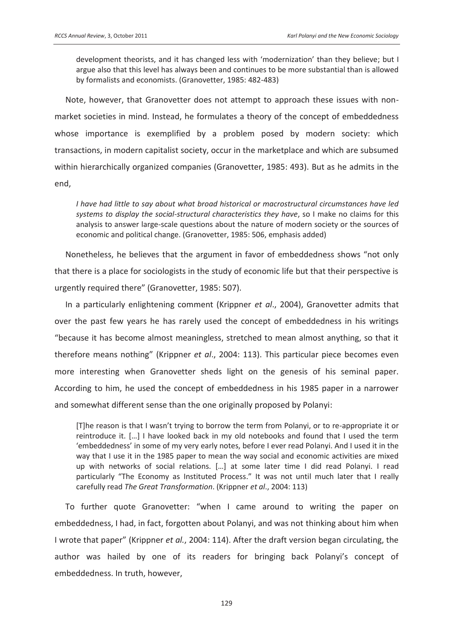development theorists, and it has changed less with 'modernization' than they believe; but I argue also that this level has always been and continues to be more substantial than is allowed by formalists and economists. (Granovetter, 1985: 482-483)

Note, however, that Granovetter does not attempt to approach these issues with nonmarket societies in mind. Instead, he formulates a theory of the concept of embeddedness whose importance is exemplified by a problem posed by modern society: which transactions, in modern capitalist society, occur in the marketplace and which are subsumed within hierarchically organized companies (Granovetter, 1985: 493). But as he admits in the end,

*I have had little to say about what broad historical or macrostructural circumstances have led systems to display the social-structural characteristics they have*, so I make no claims for this analysis to answer large-scale questions about the nature of modern society or the sources of economic and political change. (Granovetter, 1985: 506, emphasis added)

Nonetheless, he believes that the argument in favor of embeddedness shows "not only that there is a place for sociologists in the study of economic life but that their perspective is urgently required there" (Granovetter, 1985: 507).

In a particularly enlightening comment (Krippner *et al*., 2004), Granovetter admits that over the past few years he has rarely used the concept of embeddedness in his writings "because it has become almost meaningless, stretched to mean almost anything, so that it therefore means nothingî (Krippner *et al*., 2004: 113). This particular piece becomes even more interesting when Granovetter sheds light on the genesis of his seminal paper. According to him, he used the concept of embeddedness in his 1985 paper in a narrower and somewhat different sense than the one originally proposed by Polanyi:

[T]he reason is that I wasnít trying to borrow the term from Polanyi, or to re-appropriate it or reintroduce it. [...] I have looked back in my old notebooks and found that I used the term ëembeddednessí in some of my very early notes, before I ever read Polanyi. And I used it in the way that I use it in the 1985 paper to mean the way social and economic activities are mixed up with networks of social relations. [...] at some later time I did read Polanyi. I read particularly "The Economy as Instituted Process." It was not until much later that I really carefully read *The Great Transformation*. (Krippner *et al*., 2004: 113)

To further quote Granovetter: "when I came around to writing the paper on embeddedness, I had, in fact, forgotten about Polanyi, and was not thinking about him when I wrote that paperî (Krippner *et al.*, 2004: 114). After the draft version began circulating, the author was hailed by one of its readers for bringing back Polanyi's concept of embeddedness. In truth, however,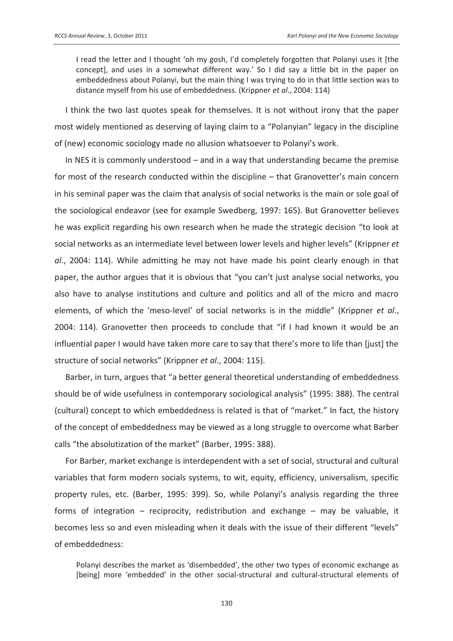I read the letter and I thought 'oh my gosh, I'd completely forgotten that Polanyi uses it [the concept], and uses in a somewhat different way.' So I did say a little bit in the paper on embeddedness about Polanyi, but the main thing I was trying to do in that little section was to distance myself from his use of embeddedness. (Krippner *et al*., 2004: 114)

I think the two last quotes speak for themselves. It is not without irony that the paper most widely mentioned as deserving of laying claim to a "Polanyian" legacy in the discipline of (new) economic sociology made no allusion whatsoever to Polanyi's work.

In NES it is commonly understood  $-$  and in a way that understanding became the premise for most of the research conducted within the discipline – that Granovetter's main concern in his seminal paper was the claim that analysis of social networks is the main or sole goal of the sociological endeavor (see for example Swedberg, 1997: 165). But Granovetter believes he was explicit regarding his own research when he made the strategic decision "to look at social networks as an intermediate level between lower levels and higher levels" (Krippner *et al*., 2004: 114). While admitting he may not have made his point clearly enough in that paper, the author argues that it is obvious that "you can't just analyse social networks, you also have to analyse institutions and culture and politics and all of the micro and macro elements, of which the 'meso-level' of social networks is in the middle" (Krippner *et al.*, 2004: 114). Granovetter then proceeds to conclude that "if I had known it would be an influential paper I would have taken more care to say that there's more to life than [just] the structure of social networks" (Krippner *et al.*, 2004: 115).

Barber, in turn, argues that "a better general theoretical understanding of embeddedness should be of wide usefulness in contemporary sociological analysis" (1995: 388). The central (cultural) concept to which embeddedness is related is that of "market." In fact, the history of the concept of embeddedness may be viewed as a long struggle to overcome what Barber calls "the absolutization of the market" (Barber, 1995: 388).

For Barber, market exchange is interdependent with a set of social, structural and cultural variables that form modern socials systems, to wit, equity, efficiency, universalism, specific property rules, etc. (Barber, 1995: 399). So, while Polanyi's analysis regarding the three forms of integration  $-$  reciprocity, redistribution and exchange  $-$  may be valuable, it becomes less so and even misleading when it deals with the issue of their different "levels" of embeddedness:

Polanyi describes the market as 'disembedded', the other two types of economic exchange as [being] more 'embedded' in the other social-structural and cultural-structural elements of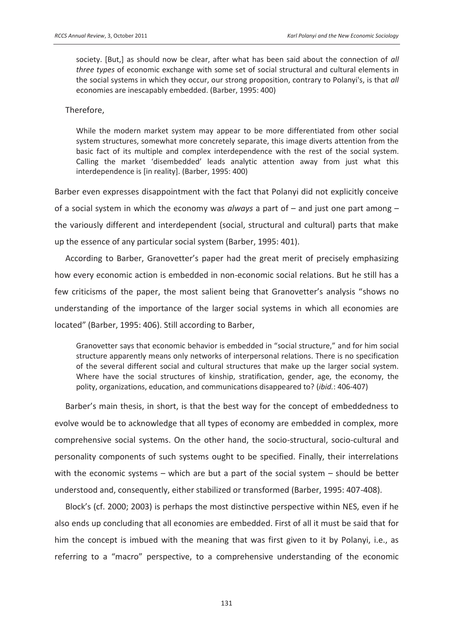society. [But,] as should now be clear, after what has been said about the connection of *all three types* of economic exchange with some set of social structural and cultural elements in the social systems in which they occur, our strong proposition, contrary to Polanyi's, is that *all*  economies are inescapably embedded. (Barber, 1995: 400)

Therefore,

While the modern market system may appear to be more differentiated from other social system structures, somewhat more concretely separate, this image diverts attention from the basic fact of its multiple and complex interdependence with the rest of the social system. Calling the market 'disembedded' leads analytic attention away from just what this interdependence is [in reality]. (Barber, 1995: 400)

Barber even expresses disappointment with the fact that Polanyi did not explicitly conceive of a social system in which the economy was *always* a part of  $-$  and just one part among  $$ the variously different and interdependent (social, structural and cultural) parts that make up the essence of any particular social system (Barber, 1995: 401).

According to Barber, Granovetterís paper had the great merit of precisely emphasizing how every economic action is embedded in non-economic social relations. But he still has a few criticisms of the paper, the most salient being that Granovetter's analysis "shows no understanding of the importance of the larger social systems in which all economies are located" (Barber, 1995: 406). Still according to Barber,

Granovetter says that economic behavior is embedded in "social structure," and for him social structure apparently means only networks of interpersonal relations. There is no specification of the several different social and cultural structures that make up the larger social system. Where have the social structures of kinship, stratification, gender, age, the economy, the polity, organizations, education, and communications disappeared to? (*ibid.*: 406-407)

Barber's main thesis, in short, is that the best way for the concept of embeddedness to evolve would be to acknowledge that all types of economy are embedded in complex, more comprehensive social systems. On the other hand, the socio-structural, socio-cultural and personality components of such systems ought to be specified. Finally, their interrelations with the economic systems  $-$  which are but a part of the social system  $-$  should be better understood and, consequently, either stabilized or transformed (Barber, 1995: 407-408).

Block's (cf. 2000; 2003) is perhaps the most distinctive perspective within NES, even if he also ends up concluding that all economies are embedded. First of all it must be said that for him the concept is imbued with the meaning that was first given to it by Polanyi, i.e., as referring to a "macro" perspective, to a comprehensive understanding of the economic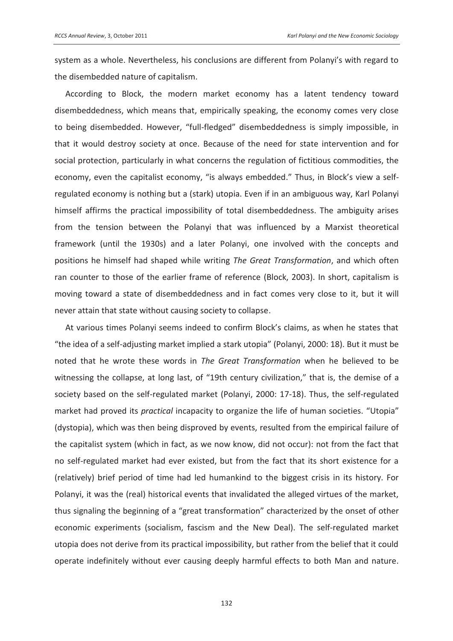system as a whole. Nevertheless, his conclusions are different from Polanyi's with regard to the disembedded nature of capitalism.

According to Block, the modern market economy has a latent tendency toward disembeddedness, which means that, empirically speaking, the economy comes very close to being disembedded. However, "full-fledged" disembeddedness is simply impossible, in that it would destroy society at once. Because of the need for state intervention and for social protection, particularly in what concerns the regulation of fictitious commodities, the economy, even the capitalist economy, "is always embedded." Thus, in Block's view a selfregulated economy is nothing but a (stark) utopia. Even if in an ambiguous way, Karl Polanyi himself affirms the practical impossibility of total disembeddedness. The ambiguity arises from the tension between the Polanyi that was influenced by a Marxist theoretical framework (until the 1930s) and a later Polanyi, one involved with the concepts and positions he himself had shaped while writing *The Great Transformation*, and which often ran counter to those of the earlier frame of reference (Block, 2003). In short, capitalism is moving toward a state of disembeddedness and in fact comes very close to it, but it will never attain that state without causing society to collapse.

At various times Polanyi seems indeed to confirm Blockís claims, as when he states that "the idea of a self-adjusting market implied a stark utopia" (Polanyi, 2000: 18). But it must be noted that he wrote these words in *The Great Transformation* when he believed to be witnessing the collapse, at long last, of "19th century civilization," that is, the demise of a society based on the self-regulated market (Polanyi, 2000: 17-18). Thus, the self-regulated market had proved its *practical* incapacity to organize the life of human societies. "Utopia" (dystopia), which was then being disproved by events, resulted from the empirical failure of the capitalist system (which in fact, as we now know, did not occur): not from the fact that no self-regulated market had ever existed, but from the fact that its short existence for a (relatively) brief period of time had led humankind to the biggest crisis in its history. For Polanyi, it was the (real) historical events that invalidated the alleged virtues of the market, thus signaling the beginning of a "great transformation" characterized by the onset of other economic experiments (socialism, fascism and the New Deal). The self-regulated market utopia does not derive from its practical impossibility, but rather from the belief that it could operate indefinitely without ever causing deeply harmful effects to both Man and nature.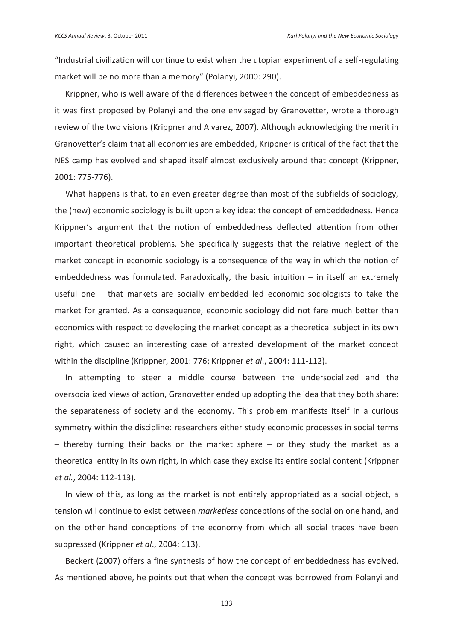"Industrial civilization will continue to exist when the utopian experiment of a self-regulating market will be no more than a memory" (Polanyi, 2000: 290).

Krippner, who is well aware of the differences between the concept of embeddedness as it was first proposed by Polanyi and the one envisaged by Granovetter, wrote a thorough review of the two visions (Krippner and Alvarez, 2007). Although acknowledging the merit in Granovetter's claim that all economies are embedded, Krippner is critical of the fact that the NES camp has evolved and shaped itself almost exclusively around that concept (Krippner, 2001: 775-776).

What happens is that, to an even greater degree than most of the subfields of sociology, the (new) economic sociology is built upon a key idea: the concept of embeddedness. Hence Krippnerís argument that the notion of embeddedness deflected attention from other important theoretical problems. She specifically suggests that the relative neglect of the market concept in economic sociology is a consequence of the way in which the notion of embeddedness was formulated. Paradoxically, the basic intuition  $-$  in itself an extremely useful one  $-$  that markets are socially embedded led economic sociologists to take the market for granted. As a consequence, economic sociology did not fare much better than economics with respect to developing the market concept as a theoretical subject in its own right, which caused an interesting case of arrested development of the market concept within the discipline (Krippner, 2001: 776; Krippner *et al*., 2004: 111-112).

In attempting to steer a middle course between the undersocialized and the oversocialized views of action, Granovetter ended up adopting the idea that they both share: the separateness of society and the economy. This problem manifests itself in a curious symmetry within the discipline: researchers either study economic processes in social terms  $-$  thereby turning their backs on the market sphere  $-$  or they study the market as a theoretical entity in its own right, in which case they excise its entire social content (Krippner *et al.*, 2004: 112-113).

In view of this, as long as the market is not entirely appropriated as a social object, a tension will continue to exist between *marketless* conceptions of the social on one hand, and on the other hand conceptions of the economy from which all social traces have been suppressed (Krippner *et al*., 2004: 113).

Beckert (2007) offers a fine synthesis of how the concept of embeddedness has evolved. As mentioned above, he points out that when the concept was borrowed from Polanyi and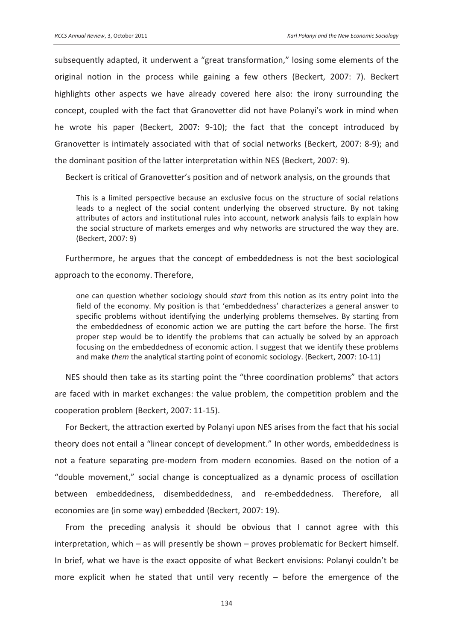subsequently adapted, it underwent a "great transformation," losing some elements of the original notion in the process while gaining a few others (Beckert, 2007: 7). Beckert highlights other aspects we have already covered here also: the irony surrounding the concept, coupled with the fact that Granovetter did not have Polanyiís work in mind when he wrote his paper (Beckert, 2007: 9-10); the fact that the concept introduced by Granovetter is intimately associated with that of social networks (Beckert, 2007: 8-9); and the dominant position of the latter interpretation within NES (Beckert, 2007: 9).

Beckert is critical of Granovetter's position and of network analysis, on the grounds that

This is a limited perspective because an exclusive focus on the structure of social relations leads to a neglect of the social content underlying the observed structure. By not taking attributes of actors and institutional rules into account, network analysis fails to explain how the social structure of markets emerges and why networks are structured the way they are. (Beckert, 2007: 9)

Furthermore, he argues that the concept of embeddedness is not the best sociological approach to the economy. Therefore,

one can question whether sociology should *start* from this notion as its entry point into the field of the economy. My position is that 'embeddedness' characterizes a general answer to specific problems without identifying the underlying problems themselves. By starting from the embeddedness of economic action we are putting the cart before the horse. The first proper step would be to identify the problems that can actually be solved by an approach focusing on the embeddedness of economic action. I suggest that we identify these problems and make *them* the analytical starting point of economic sociology. (Beckert, 2007: 10-11)

NES should then take as its starting point the "three coordination problems" that actors are faced with in market exchanges: the value problem, the competition problem and the cooperation problem (Beckert, 2007: 11-15).

For Beckert, the attraction exerted by Polanyi upon NES arises from the fact that his social theory does not entail a "linear concept of development." In other words, embeddedness is not a feature separating pre-modern from modern economies. Based on the notion of a "double movement," social change is conceptualized as a dynamic process of oscillation between embeddedness, disembeddedness, and re-embeddedness. Therefore, all economies are (in some way) embedded (Beckert, 2007: 19).

From the preceding analysis it should be obvious that I cannot agree with this interpretation, which  $-$  as will presently be shown  $-$  proves problematic for Beckert himself. In brief, what we have is the exact opposite of what Beckert envisions: Polanyi couldnít be more explicit when he stated that until very recently  $-$  before the emergence of the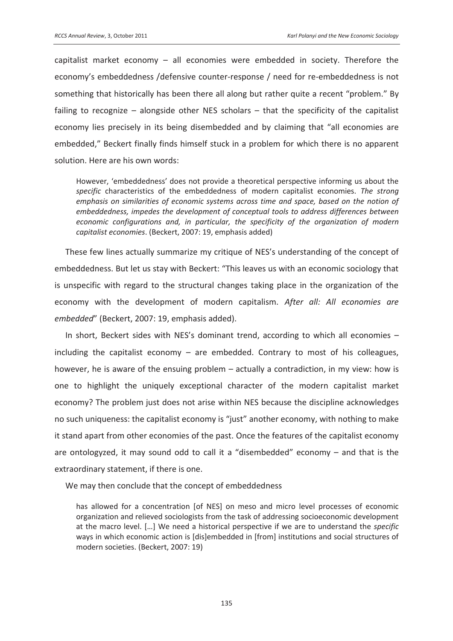capitalist market economy  $-$  all economies were embedded in society. Therefore the economyís embeddedness /defensive counter-response / need for re-embeddedness is not something that historically has been there all along but rather quite a recent "problem." By failing to recognize  $-$  alongside other NES scholars  $-$  that the specificity of the capitalist economy lies precisely in its being disembedded and by claiming that "all economies are embedded," Beckert finally finds himself stuck in a problem for which there is no apparent solution. Here are his own words:

However, ëembeddednessí does not provide a theoretical perspective informing us about the *specific* characteristics of the embeddedness of modern capitalist economies. *The strong emphasis on similarities of economic systems across time and space, based on the notion of embeddedness, impedes the development of conceptual tools to address differences between economic configurations and, in particular, the specificity of the organization of modern capitalist economies*. (Beckert, 2007: 19, emphasis added)

These few lines actually summarize my critique of NES's understanding of the concept of embeddedness. But let us stay with Beckert: "This leaves us with an economic sociology that is unspecific with regard to the structural changes taking place in the organization of the economy with the development of modern capitalism. *After all: All economies are embedded*î (Beckert, 2007: 19, emphasis added).

In short, Beckert sides with NES's dominant trend, according to which all economies  $$ including the capitalist economy  $-$  are embedded. Contrary to most of his colleagues, however, he is aware of the ensuing problem  $-$  actually a contradiction, in my view: how is one to highlight the uniquely exceptional character of the modern capitalist market economy? The problem just does not arise within NES because the discipline acknowledges no such uniqueness: the capitalist economy is "just" another economy, with nothing to make it stand apart from other economies of the past. Once the features of the capitalist economy are ontologyzed, it may sound odd to call it a "disembedded" economy  $-$  and that is the extraordinary statement, if there is one.

We may then conclude that the concept of embeddedness

has allowed for a concentration [of NES] on meso and micro level processes of economic organization and relieved sociologists from the task of addressing socioeconomic development at the macro level. [...] We need a historical perspective if we are to understand the *specific* ways in which economic action is [dis]embedded in [from] institutions and social structures of modern societies. (Beckert, 2007: 19)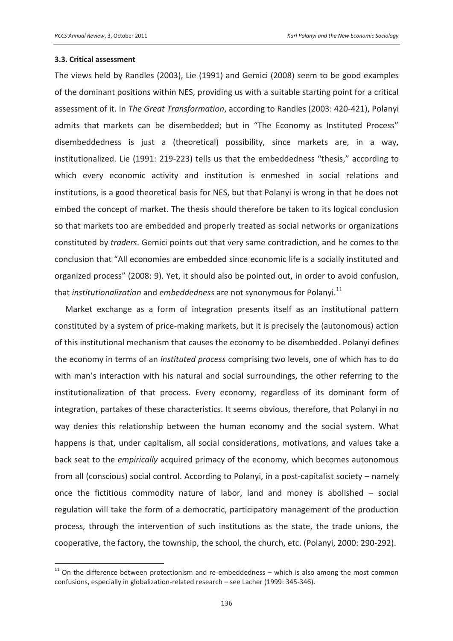#### **3.3. Critical assessment**

 $\overline{a}$ 

The views held by Randles (2003), Lie (1991) and Gemici (2008) seem to be good examples of the dominant positions within NES, providing us with a suitable starting point for a critical assessment of it. In *The Great Transformation*, according to Randles (2003: 420-421), Polanyi admits that markets can be disembedded; but in "The Economy as Instituted Process" disembeddedness is just a (theoretical) possibility, since markets are, in a way, institutionalized. Lie (1991: 219-223) tells us that the embeddedness "thesis," according to which every economic activity and institution is enmeshed in social relations and institutions, is a good theoretical basis for NES, but that Polanyi is wrong in that he does not embed the concept of market. The thesis should therefore be taken to its logical conclusion so that markets too are embedded and properly treated as social networks or organizations constituted by *traders*. Gemici points out that very same contradiction, and he comes to the conclusion that "All economies are embedded since economic life is a socially instituted and organized processî (2008: 9). Yet, it should also be pointed out, in order to avoid confusion, that *institutionalization* and *embeddedness* are not synonymous for Polanyi.<sup>11</sup>

Market exchange as a form of integration presents itself as an institutional pattern constituted by a system of price-making markets, but it is precisely the (autonomous) action of this institutional mechanism that causes the economy to be disembedded. Polanyi defines the economy in terms of an *instituted process* comprising two levels, one of which has to do with man's interaction with his natural and social surroundings, the other referring to the institutionalization of that process. Every economy, regardless of its dominant form of integration, partakes of these characteristics. It seems obvious, therefore, that Polanyi in no way denies this relationship between the human economy and the social system. What happens is that, under capitalism, all social considerations, motivations, and values take a back seat to the *empirically* acquired primacy of the economy, which becomes autonomous from all (conscious) social control. According to Polanyi, in a post-capitalist society  $-$  namely once the fictitious commodity nature of labor, land and money is abolished  $-$  social regulation will take the form of a democratic, participatory management of the production process, through the intervention of such institutions as the state, the trade unions, the cooperative, the factory, the township, the school, the church, etc. (Polanyi, 2000: 290-292).

 $11$  On the difference between protectionism and re-embeddedness  $-$  which is also among the most common confusions, especially in globalization-related research - see Lacher (1999: 345-346).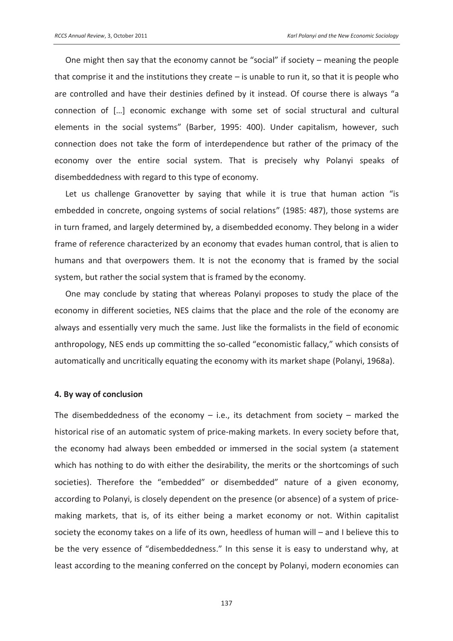One might then say that the economy cannot be "social" if society  $-$  meaning the people that comprise it and the institutions they create  $-$  is unable to run it, so that it is people who are controlled and have their destinies defined by it instead. Of course there is always "a connection of [...] economic exchange with some set of social structural and cultural elements in the social systems" (Barber, 1995: 400). Under capitalism, however, such connection does not take the form of interdependence but rather of the primacy of the economy over the entire social system. That is precisely why Polanyi speaks of disembeddedness with regard to this type of economy.

Let us challenge Granovetter by saying that while it is true that human action "is embedded in concrete, ongoing systems of social relations" (1985: 487), those systems are in turn framed, and largely determined by, a disembedded economy. They belong in a wider frame of reference characterized by an economy that evades human control, that is alien to humans and that overpowers them. It is not the economy that is framed by the social system, but rather the social system that is framed by the economy.

One may conclude by stating that whereas Polanyi proposes to study the place of the economy in different societies, NES claims that the place and the role of the economy are always and essentially very much the same. Just like the formalists in the field of economic anthropology, NES ends up committing the so-called "economistic fallacy," which consists of automatically and uncritically equating the economy with its market shape (Polanyi, 1968a).

### **4. By way of conclusion**

The disembeddedness of the economy  $-$  i.e., its detachment from society  $-$  marked the historical rise of an automatic system of price-making markets. In every society before that, the economy had always been embedded or immersed in the social system (a statement which has nothing to do with either the desirability, the merits or the shortcomings of such societies). Therefore the "embedded" or disembedded" nature of a given economy, according to Polanyi, is closely dependent on the presence (or absence) of a system of pricemaking markets, that is, of its either being a market economy or not. Within capitalist society the economy takes on a life of its own, heedless of human will – and I believe this to be the very essence of "disembeddedness." In this sense it is easy to understand why, at least according to the meaning conferred on the concept by Polanyi, modern economies can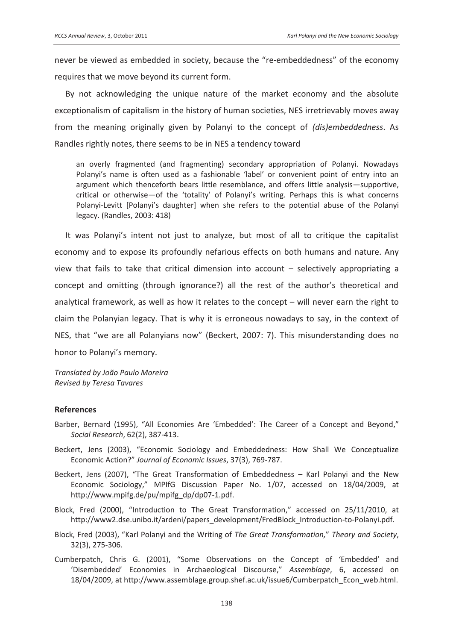never be viewed as embedded in society, because the "re-embeddedness" of the economy requires that we move beyond its current form.

By not acknowledging the unique nature of the market economy and the absolute exceptionalism of capitalism in the history of human societies, NES irretrievably moves away from the meaning originally given by Polanyi to the concept of *(dis)embeddedness*. As Randles rightly notes, there seems to be in NES a tendency toward

an overly fragmented (and fragmenting) secondary appropriation of Polanyi. Nowadays Polanyi's name is often used as a fashionable 'label' or convenient point of entry into an argument which thenceforth bears little resemblance, and offers little analysis—supportive, critical or otherwise-of the 'totality' of Polanyi's writing. Perhaps this is what concerns Polanyi-Levitt [Polanyiís daughter] when she refers to the potential abuse of the Polanyi legacy. (Randles, 2003: 418)

It was Polanyiís intent not just to analyze, but most of all to critique the capitalist economy and to expose its profoundly nefarious effects on both humans and nature. Any view that fails to take that critical dimension into account  $-$  selectively appropriating a concept and omitting (through ignorance?) all the rest of the authorís theoretical and analytical framework, as well as how it relates to the concept  $-$  will never earn the right to claim the Polanyian legacy. That is why it is erroneous nowadays to say, in the context of NES, that "we are all Polanyians now" (Beckert, 2007: 7). This misunderstanding does no honor to Polanyi's memory.

*Translated by Jo"o Paulo Moreira Revised by Teresa Tavares* 

#### **References**

- Barber, Bernard (1995), "All Economies Are 'Embedded': The Career of a Concept and Beyond," *Social Research*, 62(2), 387-413.
- Beckert, Jens (2003), "Economic Sociology and Embeddedness: How Shall We Conceptualize Economic Action?î *Journal of Economic Issues*, 37(3), 769-787.
- Beckert, Jens (2007), "The Great Transformation of Embeddedness  $-$  Karl Polanyi and the New Economic Sociology," MPIfG Discussion Paper No. 1/07, accessed on 18/04/2009, at http://www.mpifg.de/pu/mpifg\_dp/dp07-1.pdf.
- Block, Fred (2000), "Introduction to The Great Transformation," accessed on 25/11/2010, at http://www2.dse.unibo.it/ardeni/papers\_development/FredBlock\_Introduction-to-Polanyi.pdf.
- Block, Fred (2003), "Karl Polanyi and the Writing of *The Great Transformation*," *Theory and Society*, 32(3), 275-306.
- Cumberpatch, Chris G. (2001), "Some Observations on the Concept of 'Embedded' and ëDisembeddedí Economies in Archaeological Discourse,î *Assemblage*, 6, accessed on 18/04/2009, at http://www.assemblage.group.shef.ac.uk/issue6/Cumberpatch\_Econ\_web.html.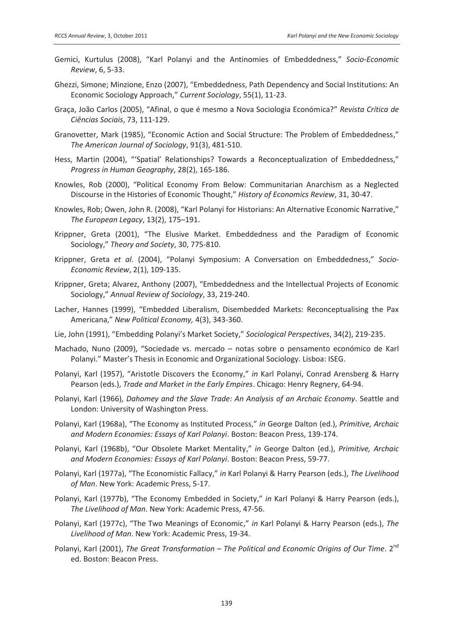- Gemici, Kurtulus (2008), "Karl Polanyi and the Antinomies of Embeddedness," *Socio-Economic Review*, 6, 5-33.
- Ghezzi, Simone; Minzione, Enzo (2007), "Embeddedness, Path Dependency and Social Institutions: An Economic Sociology Approach," Current Sociology, 55(1), 11-23.
- Graça, João Carlos (2005), "Afinal, o que é mesmo a Nova Sociologia Económica?" *Revista Crítica de CiÍncias Sociais*, 73, 111-129.
- Granovetter, Mark (1985), "Economic Action and Social Structure: The Problem of Embeddedness," *The American Journal of Sociology*, 91(3), 481-510.
- Hess, Martin (2004), "'Spatial' Relationships? Towards a Reconceptualization of Embeddedness," *Progress in Human Geography*, 28(2), 165-186.
- Knowles, Rob (2000), "Political Economy From Below: Communitarian Anarchism as a Neglected Discourse in the Histories of Economic Thought," History of Economics Review, 31, 30-47.
- Knowles, Rob; Owen, John R. (2008), "Karl Polanyi for Historians: An Alternative Economic Narrative," *The European Legacy*, 13(2), 175-191.
- Krippner, Greta (2001), "The Elusive Market. Embeddedness and the Paradigm of Economic Sociology,î *Theory and Society*, 30, 775-810.
- Krippner, Greta et al. (2004), "Polanyi Symposium: A Conversation on Embeddedness," Socio-*Economic Review*, 2(1), 109-135.
- Krippner, Greta; Alvarez, Anthony (2007), "Embeddedness and the Intellectual Projects of Economic Sociology,î *Annual Review of Sociology*, 33, 219-240.
- Lacher, Hannes (1999), "Embedded Liberalism, Disembedded Markets: Reconceptualising the Pax Americana,î *New Political Economy,* 4(3), 343-360.
- Lie, John (1991), "Embedding Polanyi's Market Society," Sociological Perspectives, 34(2), 219-235.
- Machado, Nuno (2009), "Sociedade vs. mercado notas sobre o pensamento económico de Karl Polanyi." Master's Thesis in Economic and Organizational Sociology. Lisboa: ISEG.
- Polanyi, Karl (1957), "Aristotle Discovers the Economy," in Karl Polanyi, Conrad Arensberg & Harry Pearson (eds.), *Trade and Market in the Early Empires*. Chicago: Henry Regnery, 64-94.
- Polanyi, Karl (1966), *Dahomey and the Slave Trade: An Analysis of an Archaic Economy*. Seattle and London: University of Washington Press.
- Polanyi, Karl (1968a), "The Economy as Instituted Process," in George Dalton (ed.), *Primitive, Archaic and Modern Economies: Essays of Karl Polanyi*. Boston: Beacon Press, 139-174.
- Polanyi, Karl (1968b), "Our Obsolete Market Mentality," in George Dalton (ed.), Primitive, Archaic *and Modern Economies: Essays of Karl Polanyi*. Boston: Beacon Press, 59-77.
- Polanyi, Karl (1977a), "The Economistic Fallacy," in Karl Polanyi & Harry Pearson (eds.), The Livelihood *of Man*. New York: Academic Press, 5-17.
- Polanyi, Karl (1977b), "The Economy Embedded in Society," in Karl Polanyi & Harry Pearson (eds.), *The Livelihood of Man*. New York: Academic Press, 47-56.
- Polanyi, Karl (1977c), "The Two Meanings of Economic," in Karl Polanyi & Harry Pearson (eds.), The *Livelihood of Man*. New York: Academic Press, 19-34.
- Polanyi, Karl (2001), *The Great Transformation The Political and Economic Origins of Our Time*. 2<sup>nd</sup> ed. Boston: Beacon Press.